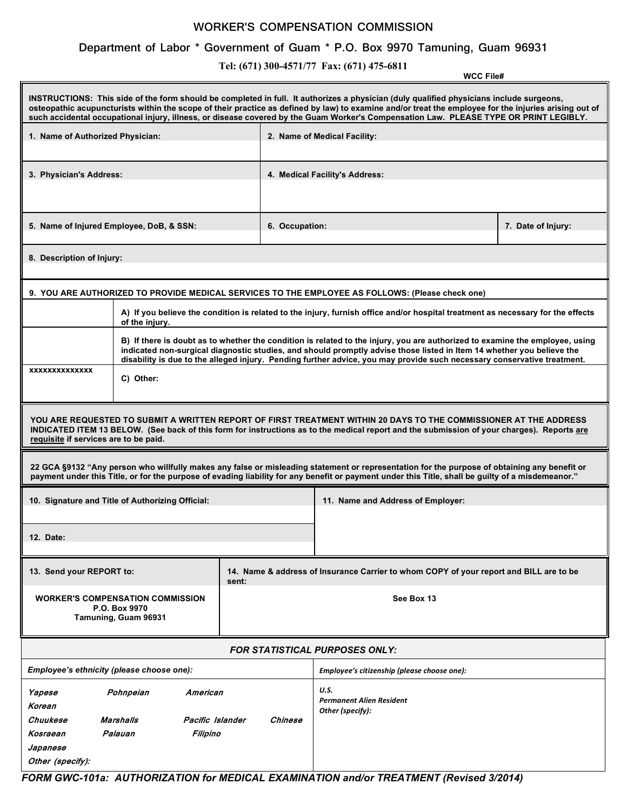## **WORKER'S COMPENSATION COMMISSION**

## **Department of Labor \* Government of Guam \* P.O. Box 9970 Tamuning, Guam 96931**

**Tel: (671) 300-4571/77 Fax: (671) 475-6811**

**WCC File#** 

| INSTRUCTIONS: This side of the form should be completed in full. It authorizes a physician (duly qualified physicians include surgeons,<br>osteopathic acupuncturists within the scope of their practice as defined by law) to examine and/or treat the employee for the injuries arising out of<br>such accidental occupational injury, illness, or disease covered by the Guam Worker's Compensation Law. PLEASE TYPE OR PRINT LEGIBLY. |                                                                                                                                                                                                                                                                                                                                                                                  |                |                                                                                        |  |  |  |  |  |
|-------------------------------------------------------------------------------------------------------------------------------------------------------------------------------------------------------------------------------------------------------------------------------------------------------------------------------------------------------------------------------------------------------------------------------------------|----------------------------------------------------------------------------------------------------------------------------------------------------------------------------------------------------------------------------------------------------------------------------------------------------------------------------------------------------------------------------------|----------------|----------------------------------------------------------------------------------------|--|--|--|--|--|
| 1. Name of Authorized Physician:                                                                                                                                                                                                                                                                                                                                                                                                          |                                                                                                                                                                                                                                                                                                                                                                                  |                | 2. Name of Medical Facility:                                                           |  |  |  |  |  |
| 3. Physician's Address:                                                                                                                                                                                                                                                                                                                                                                                                                   |                                                                                                                                                                                                                                                                                                                                                                                  |                | 4. Medical Facility's Address:                                                         |  |  |  |  |  |
| 5. Name of Injured Employee, DoB, & SSN:                                                                                                                                                                                                                                                                                                                                                                                                  |                                                                                                                                                                                                                                                                                                                                                                                  | 6. Occupation: | 7. Date of Injury:                                                                     |  |  |  |  |  |
| 8. Description of Injury:                                                                                                                                                                                                                                                                                                                                                                                                                 |                                                                                                                                                                                                                                                                                                                                                                                  |                |                                                                                        |  |  |  |  |  |
| 9. YOU ARE AUTHORIZED TO PROVIDE MEDICAL SERVICES TO THE EMPLOYEE AS FOLLOWS: (Please check one)                                                                                                                                                                                                                                                                                                                                          |                                                                                                                                                                                                                                                                                                                                                                                  |                |                                                                                        |  |  |  |  |  |
|                                                                                                                                                                                                                                                                                                                                                                                                                                           | A) If you believe the condition is related to the injury, furnish office and/or hospital treatment as necessary for the effects<br>of the injury.                                                                                                                                                                                                                                |                |                                                                                        |  |  |  |  |  |
|                                                                                                                                                                                                                                                                                                                                                                                                                                           | B) If there is doubt as to whether the condition is related to the injury, you are authorized to examine the employee, using<br>indicated non-surgical diagnostic studies, and should promptly advise those listed in Item 14 whether you believe the<br>disability is due to the alleged injury. Pending further advice, you may provide such necessary conservative treatment. |                |                                                                                        |  |  |  |  |  |
| <b>XXXXXXXXXXXXXX</b>                                                                                                                                                                                                                                                                                                                                                                                                                     | C) Other:                                                                                                                                                                                                                                                                                                                                                                        |                |                                                                                        |  |  |  |  |  |
| YOU ARE REQUESTED TO SUBMIT A WRITTEN REPORT OF FIRST TREATMENT WITHIN 20 DAYS TO THE COMMISSIONER AT THE ADDRESS<br>INDICATED ITEM 13 BELOW. (See back of this form for instructions as to the medical report and the submission of your charges). Reports are<br>requisite if services are to be paid.                                                                                                                                  |                                                                                                                                                                                                                                                                                                                                                                                  |                |                                                                                        |  |  |  |  |  |
| 22 GCA §9132 "Any person who willfully makes any false or misleading statement or representation for the purpose of obtaining any benefit or<br>payment under this Title, or for the purpose of evading liability for any benefit or payment under this Title, shall be guilty of a misdemeanor."                                                                                                                                         |                                                                                                                                                                                                                                                                                                                                                                                  |                |                                                                                        |  |  |  |  |  |
| 10. Signature and Title of Authorizing Official:                                                                                                                                                                                                                                                                                                                                                                                          |                                                                                                                                                                                                                                                                                                                                                                                  |                | 11. Name and Address of Employer:                                                      |  |  |  |  |  |
| <b>12. Date:</b>                                                                                                                                                                                                                                                                                                                                                                                                                          |                                                                                                                                                                                                                                                                                                                                                                                  |                |                                                                                        |  |  |  |  |  |
| 13. Send your REPORT to:<br>sent:                                                                                                                                                                                                                                                                                                                                                                                                         |                                                                                                                                                                                                                                                                                                                                                                                  |                | 14. Name & address of Insurance Carrier to whom COPY of your report and BILL are to be |  |  |  |  |  |
|                                                                                                                                                                                                                                                                                                                                                                                                                                           | <b>WORKER'S COMPENSATION COMMISSION</b><br>P.O. Box 9970<br>Tamuning, Guam 96931                                                                                                                                                                                                                                                                                                 |                | See Box 13                                                                             |  |  |  |  |  |
| <b>FOR STATISTICAL PURPOSES ONLY:</b>                                                                                                                                                                                                                                                                                                                                                                                                     |                                                                                                                                                                                                                                                                                                                                                                                  |                |                                                                                        |  |  |  |  |  |
| Employee's ethnicity (please choose one):                                                                                                                                                                                                                                                                                                                                                                                                 |                                                                                                                                                                                                                                                                                                                                                                                  |                | Employee's citizenship (please choose one):                                            |  |  |  |  |  |
| Yapese<br>Pohnpeian<br>American<br>Korean<br>Chuukese<br>Marshalls<br>Pacific Islander<br>Chinese<br>Palauan<br>Kosraean<br>Filipino<br>Japanese<br>Other (specify):                                                                                                                                                                                                                                                                      |                                                                                                                                                                                                                                                                                                                                                                                  |                | U.S.<br><b>Permanent Alien Resident</b><br>Other (specify):                            |  |  |  |  |  |

*FORM GWC-101a: AUTHORIZATION for MEDICAL EXAMINATION and/or TREATMENT (Revised 3/2014)*